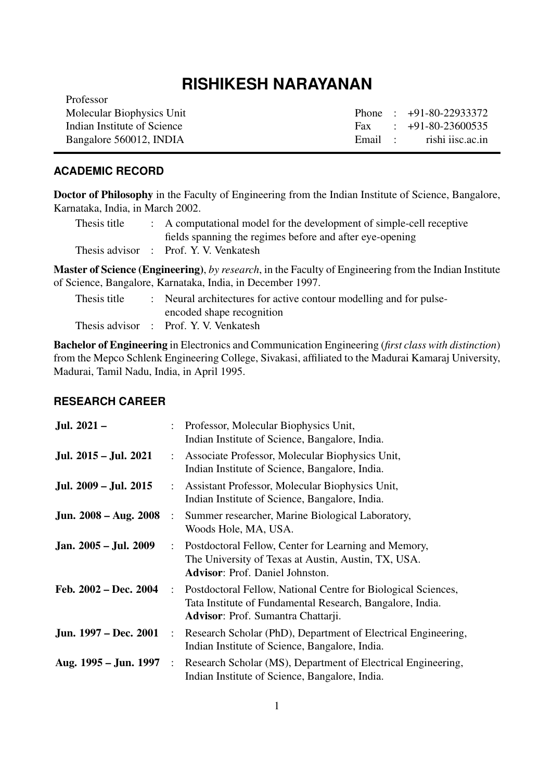# **RISHIKESH NARAYANAN**

| Professor                   |  |                          |
|-----------------------------|--|--------------------------|
| Molecular Biophysics Unit   |  | Phone: $+91-80-22933372$ |
| Indian Institute of Science |  | Fax : $+91-80-23600535$  |
| Bangalore 560012, INDIA     |  | Email: rishi iisc.ac.in  |
|                             |  |                          |

# **ACADEMIC RECORD**

Doctor of Philosophy in the Faculty of Engineering from the Indian Institute of Science, Bangalore, Karnataka, India, in March 2002.

| Thesis title | : A computational model for the development of simple-cell receptive |
|--------------|----------------------------------------------------------------------|
|              | fields spanning the regimes before and after eye-opening             |
|              | Thesis advisor : Prof. Y. V. Venkatesh                               |

Master of Science (Engineering), *by research*, in the Faculty of Engineering from the Indian Institute of Science, Bangalore, Karnataka, India, in December 1997.

| Thesis title | : Neural architectures for active contour modelling and for pulse- |
|--------------|--------------------------------------------------------------------|
|              | encoded shape recognition                                          |
|              | Thesis advisor : Prof. Y. V. Venkatesh                             |

Bachelor of Engineering in Electronics and Communication Engineering (*first class with distinction*) from the Mepco Schlenk Engineering College, Sivakasi, affiliated to the Madurai Kamaraj University, Madurai, Tamil Nadu, India, in April 1995.

# **RESEARCH CAREER**

| Jul. 2021-            |                      | Professor, Molecular Biophysics Unit,<br>Indian Institute of Science, Bangalore, India.                                                                          |
|-----------------------|----------------------|------------------------------------------------------------------------------------------------------------------------------------------------------------------|
| Jul. 2015 – Jul. 2021 | $\ddot{\phantom{a}}$ | Associate Professor, Molecular Biophysics Unit,<br>Indian Institute of Science, Bangalore, India.                                                                |
| Jul. 2009 – Jul. 2015 |                      | Assistant Professor, Molecular Biophysics Unit,<br>Indian Institute of Science, Bangalore, India.                                                                |
| Jun. 2008 – Aug. 2008 |                      | Summer researcher, Marine Biological Laboratory,<br>Woods Hole, MA, USA.                                                                                         |
| Jan. 2005 – Jul. 2009 |                      | Postdoctoral Fellow, Center for Learning and Memory,<br>The University of Texas at Austin, Austin, TX, USA.<br><b>Advisor:</b> Prof. Daniel Johnston.            |
| Feb. 2002 - Dec. 2004 | $\ddot{\cdot}$       | Postdoctoral Fellow, National Centre for Biological Sciences,<br>Tata Institute of Fundamental Research, Bangalore, India.<br>Advisor: Prof. Sumantra Chattarji. |
| Jun. 1997 – Dec. 2001 |                      | Research Scholar (PhD), Department of Electrical Engineering,<br>Indian Institute of Science, Bangalore, India.                                                  |
| Aug. 1995 – Jun. 1997 | $\ddot{\cdot}$       | Research Scholar (MS), Department of Electrical Engineering,<br>Indian Institute of Science, Bangalore, India.                                                   |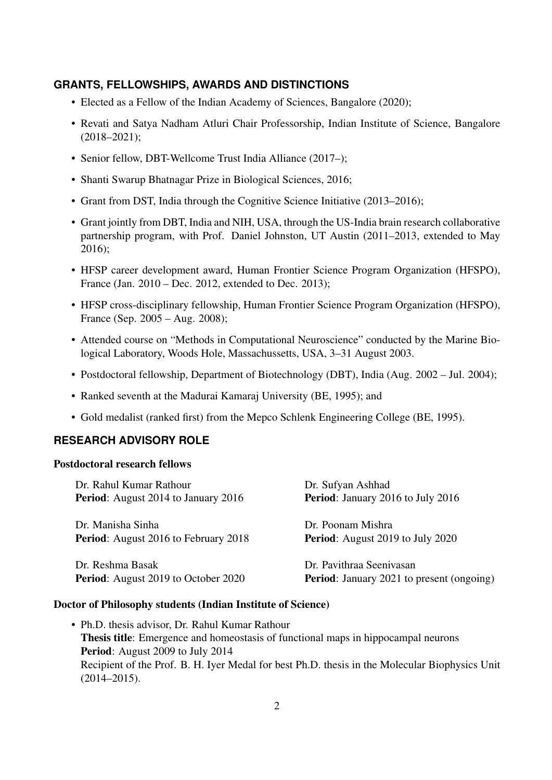## **GRANTS, FELLOWSHIPS, AWARDS AND DISTINCTIONS**

- Elected as a Fellow of the Indian Academy of Sciences, Bangalore (2020);
- Revati and Satya Nadham Atluri Chair Professorship, Indian Institute of Science, Bangalore  $(2018 - 2021);$
- Senior fellow, DBT-Wellcome Trust India Alliance (2017–);
- Shanti Swarup Bhatnagar Prize in Biological Sciences, 2016;
- Grant from DST, India through the Cognitive Science Initiative (2013–2016);
- Grant jointly from DBT, India and NIH, USA, through the US-India brain research collaborative partnership program, with Prof. Daniel Johnston, UT Austin (2011–2013, extended to May 2016);
- HFSP career development award, Human Frontier Science Program Organization (HFSPO), France (Jan. 2010 – Dec. 2012, extended to Dec. 2013);
- HFSP cross-disciplinary fellowship, Human Frontier Science Program Organization (HFSPO), France (Sep. 2005 – Aug. 2008);
- Attended course on "Methods in Computational Neuroscience" conducted by the Marine Biological Laboratory, Woods Hole, Massachussetts, USA, 3–31 August 2003.
- Postdoctoral fellowship, Department of Biotechnology (DBT), India (Aug. 2002 Jul. 2004);
- Ranked seventh at the Madurai Kamaraj University (BE, 1995); and
- Gold medalist (ranked first) from the Mepco Schlenk Engineering College (BE, 1995).

## **RESEARCH ADVISORY ROLE**

#### Postdoctoral research fellows

| Dr. Rahul Kumar Rathour                     | Dr. Sufyan Ashhad                                |
|---------------------------------------------|--------------------------------------------------|
| <b>Period:</b> August 2014 to January 2016  | <b>Period:</b> January 2016 to July 2016         |
| Dr. Manisha Sinha                           | Dr. Poonam Mishra                                |
| <b>Period:</b> August 2016 to February 2018 | <b>Period:</b> August 2019 to July 2020          |
| Dr. Reshma Basak                            | Dr. Pavithraa Seenivasan                         |
| <b>Period:</b> August 2019 to October 2020  | <b>Period:</b> January 2021 to present (ongoing) |

#### Doctor of Philosophy students (Indian Institute of Science)

• Ph.D. thesis advisor, Dr. Rahul Kumar Rathour Thesis title: Emergence and homeostasis of functional maps in hippocampal neurons Period: August 2009 to July 2014 Recipient of the Prof. B. H. Iyer Medal for best Ph.D. thesis in the Molecular Biophysics Unit (2014–2015).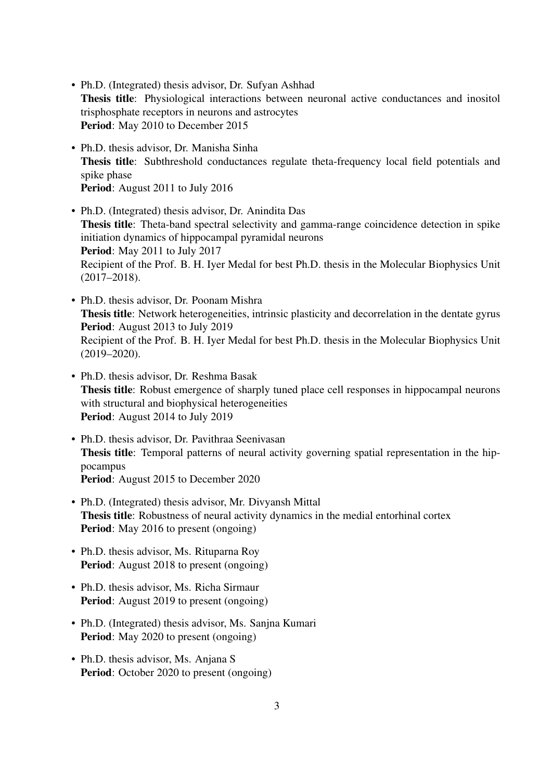- Ph.D. (Integrated) thesis advisor, Dr. Sufyan Ashhad Thesis title: Physiological interactions between neuronal active conductances and inositol trisphosphate receptors in neurons and astrocytes Period: May 2010 to December 2015
- Ph.D. thesis advisor, Dr. Manisha Sinha Thesis title: Subthreshold conductances regulate theta-frequency local field potentials and spike phase Period: August 2011 to July 2016
- Ph.D. (Integrated) thesis advisor, Dr. Anindita Das Thesis title: Theta-band spectral selectivity and gamma-range coincidence detection in spike initiation dynamics of hippocampal pyramidal neurons Period: May 2011 to July 2017 Recipient of the Prof. B. H. Iyer Medal for best Ph.D. thesis in the Molecular Biophysics Unit (2017–2018).
- Ph.D. thesis advisor, Dr. Poonam Mishra Thesis title: Network heterogeneities, intrinsic plasticity and decorrelation in the dentate gyrus Period: August 2013 to July 2019 Recipient of the Prof. B. H. Iyer Medal for best Ph.D. thesis in the Molecular Biophysics Unit (2019–2020).
- Ph.D. thesis advisor, Dr. Reshma Basak Thesis title: Robust emergence of sharply tuned place cell responses in hippocampal neurons with structural and biophysical heterogeneities Period: August 2014 to July 2019
- Ph.D. thesis advisor, Dr. Pavithraa Seenivasan Thesis title: Temporal patterns of neural activity governing spatial representation in the hippocampus Period: August 2015 to December 2020
- Ph.D. (Integrated) thesis advisor, Mr. Divyansh Mittal Thesis title: Robustness of neural activity dynamics in the medial entorhinal cortex Period: May 2016 to present (ongoing)
- Ph.D. thesis advisor, Ms. Rituparna Roy Period: August 2018 to present (ongoing)
- Ph.D. thesis advisor, Ms. Richa Sirmaur Period: August 2019 to present (ongoing)
- Ph.D. (Integrated) thesis advisor, Ms. Sanjna Kumari Period: May 2020 to present (ongoing)
- Ph.D. thesis advisor, Ms. Anjana S Period: October 2020 to present (ongoing)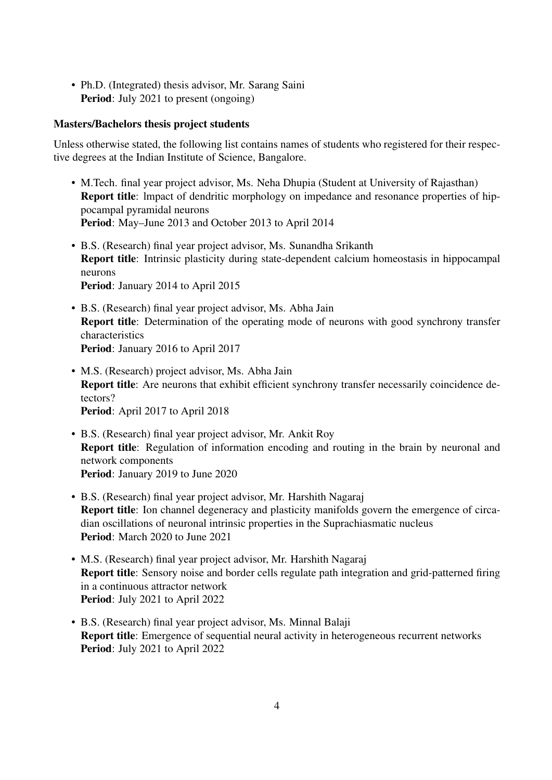• Ph.D. (Integrated) thesis advisor, Mr. Sarang Saini Period: July 2021 to present (ongoing)

## Masters/Bachelors thesis project students

Unless otherwise stated, the following list contains names of students who registered for their respective degrees at the Indian Institute of Science, Bangalore.

- M.Tech. final year project advisor, Ms. Neha Dhupia (Student at University of Rajasthan) Report title: lmpact of dendritic morphology on impedance and resonance properties of hippocampal pyramidal neurons Period: May–June 2013 and October 2013 to April 2014
- B.S. (Research) final year project advisor, Ms. Sunandha Srikanth Report title: Intrinsic plasticity during state-dependent calcium homeostasis in hippocampal neurons Period: January 2014 to April 2015
- B.S. (Research) final year project advisor, Ms. Abha Jain Report title: Determination of the operating mode of neurons with good synchrony transfer characteristics Period: January 2016 to April 2017
- M.S. (Research) project advisor, Ms. Abha Jain Report title: Are neurons that exhibit efficient synchrony transfer necessarily coincidence detectors? Period: April 2017 to April 2018
- B.S. (Research) final year project advisor, Mr. Ankit Roy Report title: Regulation of information encoding and routing in the brain by neuronal and network components Period: January 2019 to June 2020
- B.S. (Research) final year project advisor, Mr. Harshith Nagaraj Report title: Ion channel degeneracy and plasticity manifolds govern the emergence of circadian oscillations of neuronal intrinsic properties in the Suprachiasmatic nucleus Period: March 2020 to June 2021
- M.S. (Research) final year project advisor, Mr. Harshith Nagaraj Report title: Sensory noise and border cells regulate path integration and grid-patterned firing in a continuous attractor network Period: July 2021 to April 2022
- B.S. (Research) final year project advisor, Ms. Minnal Balaji Report title: Emergence of sequential neural activity in heterogeneous recurrent networks Period: July 2021 to April 2022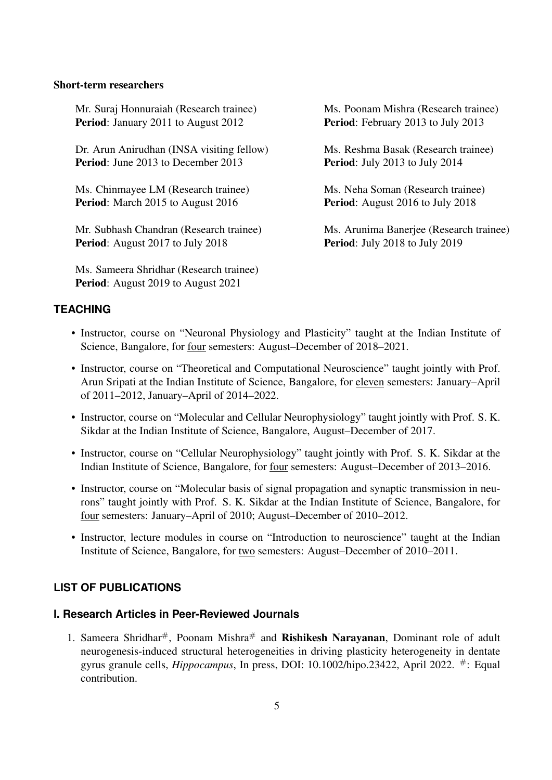#### Short-term researchers

Mr. Suraj Honnuraiah (Research trainee) Ms. Poonam Mishra (Research trainee) Period: January 2011 to August 2012 Period: February 2013 to July 2013

Dr. Arun Anirudhan (INSA visiting fellow) Ms. Reshma Basak (Research trainee) Period: June 2013 to December 2013 Period: July 2013 to July 2014

Ms. Chinmayee LM (Research trainee) Ms. Neha Soman (Research trainee) **Period:** March 2015 to August 2016 **Period:** August 2016 to July 2018

Mr. Subhash Chandran (Research trainee) Ms. Arunima Banerjee (Research trainee) Period: August 2017 to July 2018 Period: July 2018 to July 2019

Ms. Sameera Shridhar (Research trainee) Period: August 2019 to August 2021

## **TEACHING**

- Instructor, course on "Neuronal Physiology and Plasticity" taught at the Indian Institute of Science, Bangalore, for four semesters: August–December of 2018–2021.
- Instructor, course on "Theoretical and Computational Neuroscience" taught jointly with Prof. Arun Sripati at the Indian Institute of Science, Bangalore, for eleven semesters: January–April of 2011–2012, January–April of 2014–2022.
- Instructor, course on "Molecular and Cellular Neurophysiology" taught jointly with Prof. S. K. Sikdar at the Indian Institute of Science, Bangalore, August–December of 2017.
- Instructor, course on "Cellular Neurophysiology" taught jointly with Prof. S. K. Sikdar at the Indian Institute of Science, Bangalore, for four semesters: August–December of 2013–2016.
- Instructor, course on "Molecular basis of signal propagation and synaptic transmission in neurons" taught jointly with Prof. S. K. Sikdar at the Indian Institute of Science, Bangalore, for four semesters: January–April of 2010; August–December of 2010–2012.
- Instructor, lecture modules in course on "Introduction to neuroscience" taught at the Indian Institute of Science, Bangalore, for two semesters: August–December of 2010–2011.

#### **LIST OF PUBLICATIONS**

## **I. Research Articles in Peer-Reviewed Journals**

1. Sameera Shridhar<sup>#</sup>, Poonam Mishra<sup>#</sup> and **Rishikesh Narayanan**, Dominant role of adult neurogenesis-induced structural heterogeneities in driving plasticity heterogeneity in dentate gyrus granule cells, *Hippocampus*, In press, DOI: 10.1002/hipo.23422, April 2022. #: Equal contribution.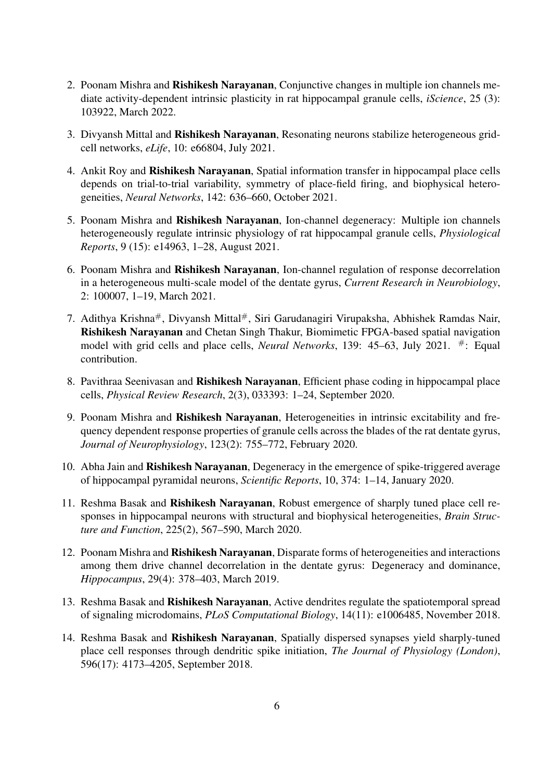- 2. Poonam Mishra and Rishikesh Narayanan, Conjunctive changes in multiple ion channels mediate activity-dependent intrinsic plasticity in rat hippocampal granule cells, *iScience*, 25 (3): 103922, March 2022.
- 3. Divyansh Mittal and Rishikesh Narayanan, Resonating neurons stabilize heterogeneous gridcell networks, *eLife*, 10: e66804, July 2021.
- 4. Ankit Roy and Rishikesh Narayanan, Spatial information transfer in hippocampal place cells depends on trial-to-trial variability, symmetry of place-field firing, and biophysical heterogeneities, *Neural Networks*, 142: 636–660, October 2021.
- 5. Poonam Mishra and Rishikesh Narayanan, Ion-channel degeneracy: Multiple ion channels heterogeneously regulate intrinsic physiology of rat hippocampal granule cells, *Physiological Reports*, 9 (15): e14963, 1–28, August 2021.
- 6. Poonam Mishra and Rishikesh Narayanan, Ion-channel regulation of response decorrelation in a heterogeneous multi-scale model of the dentate gyrus, *Current Research in Neurobiology*, 2: 100007, 1–19, March 2021.
- 7. Adithya Krishna#, Divyansh Mittal#, Siri Garudanagiri Virupaksha, Abhishek Ramdas Nair, Rishikesh Narayanan and Chetan Singh Thakur, Biomimetic FPGA-based spatial navigation model with grid cells and place cells, *Neural Networks*, 139: 45–63, July 2021. #: Equal contribution.
- 8. Pavithraa Seenivasan and Rishikesh Narayanan, Efficient phase coding in hippocampal place cells, *Physical Review Research*, 2(3), 033393: 1–24, September 2020.
- 9. Poonam Mishra and Rishikesh Narayanan, Heterogeneities in intrinsic excitability and frequency dependent response properties of granule cells across the blades of the rat dentate gyrus, *Journal of Neurophysiology*, 123(2): 755–772, February 2020.
- 10. Abha Jain and Rishikesh Narayanan, Degeneracy in the emergence of spike-triggered average of hippocampal pyramidal neurons, *Scientific Reports*, 10, 374: 1–14, January 2020.
- 11. Reshma Basak and Rishikesh Narayanan, Robust emergence of sharply tuned place cell responses in hippocampal neurons with structural and biophysical heterogeneities, *Brain Structure and Function*, 225(2), 567–590, March 2020.
- 12. Poonam Mishra and Rishikesh Narayanan, Disparate forms of heterogeneities and interactions among them drive channel decorrelation in the dentate gyrus: Degeneracy and dominance, *Hippocampus*, 29(4): 378–403, March 2019.
- 13. Reshma Basak and Rishikesh Narayanan, Active dendrites regulate the spatiotemporal spread of signaling microdomains, *PLoS Computational Biology*, 14(11): e1006485, November 2018.
- 14. Reshma Basak and Rishikesh Narayanan, Spatially dispersed synapses yield sharply-tuned place cell responses through dendritic spike initiation, *The Journal of Physiology (London)*, 596(17): 4173–4205, September 2018.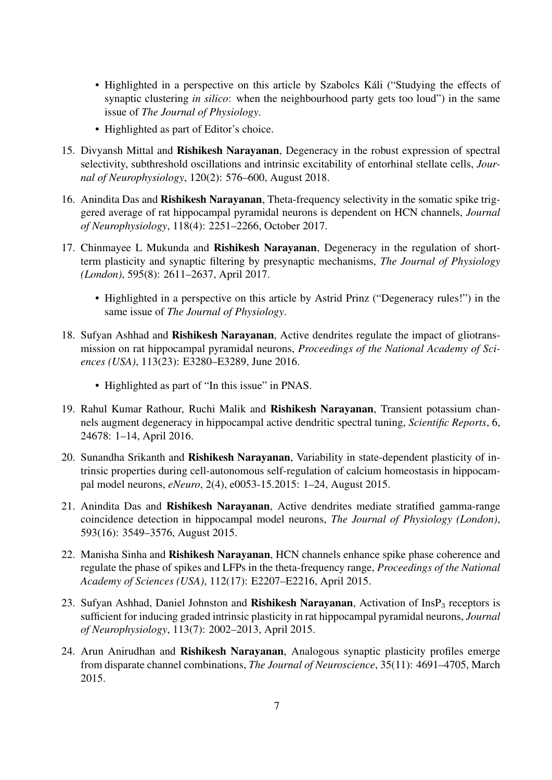- Highlighted in a perspective on this article by Szabolcs Káli ("Studying the effects of synaptic clustering *in silico*: when the neighbourhood party gets too loud") in the same issue of *The Journal of Physiology*.
- Highlighted as part of Editor's choice.
- 15. Divyansh Mittal and Rishikesh Narayanan, Degeneracy in the robust expression of spectral selectivity, subthreshold oscillations and intrinsic excitability of entorhinal stellate cells, *Journal of Neurophysiology*, 120(2): 576–600, August 2018.
- 16. Anindita Das and Rishikesh Narayanan, Theta-frequency selectivity in the somatic spike triggered average of rat hippocampal pyramidal neurons is dependent on HCN channels, *Journal of Neurophysiology*, 118(4): 2251–2266, October 2017.
- 17. Chinmayee L Mukunda and Rishikesh Narayanan, Degeneracy in the regulation of shortterm plasticity and synaptic filtering by presynaptic mechanisms, *The Journal of Physiology (London)*, 595(8): 2611–2637, April 2017.
	- Highlighted in a perspective on this article by Astrid Prinz ("Degeneracy rules!") in the same issue of *The Journal of Physiology*.
- 18. Sufyan Ashhad and Rishikesh Narayanan, Active dendrites regulate the impact of gliotransmission on rat hippocampal pyramidal neurons, *Proceedings of the National Academy of Sciences (USA)*, 113(23): E3280–E3289, June 2016.
	- Highlighted as part of "In this issue" in PNAS.
- 19. Rahul Kumar Rathour, Ruchi Malik and Rishikesh Narayanan, Transient potassium channels augment degeneracy in hippocampal active dendritic spectral tuning, *Scientific Reports*, 6, 24678: 1–14, April 2016.
- 20. Sunandha Srikanth and Rishikesh Narayanan, Variability in state-dependent plasticity of intrinsic properties during cell-autonomous self-regulation of calcium homeostasis in hippocampal model neurons, *eNeuro*, 2(4), e0053-15.2015: 1–24, August 2015.
- 21. Anindita Das and Rishikesh Narayanan, Active dendrites mediate stratified gamma-range coincidence detection in hippocampal model neurons, *The Journal of Physiology (London)*, 593(16): 3549–3576, August 2015.
- 22. Manisha Sinha and Rishikesh Narayanan, HCN channels enhance spike phase coherence and regulate the phase of spikes and LFPs in the theta-frequency range, *Proceedings of the National Academy of Sciences (USA)*, 112(17): E2207–E2216, April 2015.
- 23. Sufyan Ashhad, Daniel Johnston and Rishikesh Narayanan, Activation of InsP<sub>3</sub> receptors is sufficient for inducing graded intrinsic plasticity in rat hippocampal pyramidal neurons, *Journal of Neurophysiology*, 113(7): 2002–2013, April 2015.
- 24. Arun Anirudhan and Rishikesh Narayanan, Analogous synaptic plasticity profiles emerge from disparate channel combinations, *The Journal of Neuroscience*, 35(11): 4691–4705, March 2015.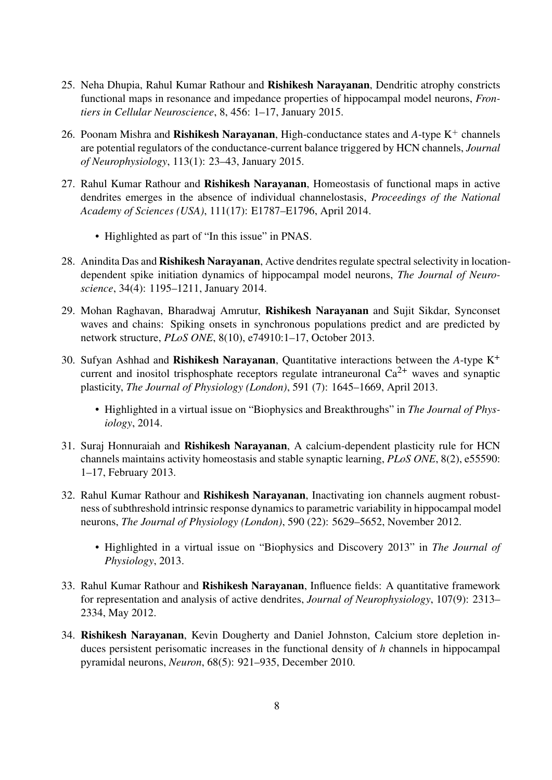- 25. Neha Dhupia, Rahul Kumar Rathour and Rishikesh Narayanan, Dendritic atrophy constricts functional maps in resonance and impedance properties of hippocampal model neurons, *Frontiers in Cellular Neuroscience*, 8, 456: 1–17, January 2015.
- 26. Poonam Mishra and **Rishikesh Narayanan**, High-conductance states and  $A$ -type  $K^+$  channels are potential regulators of the conductance-current balance triggered by HCN channels, *Journal of Neurophysiology*, 113(1): 23–43, January 2015.
- 27. Rahul Kumar Rathour and Rishikesh Narayanan, Homeostasis of functional maps in active dendrites emerges in the absence of individual channelostasis, *Proceedings of the National Academy of Sciences (USA)*, 111(17): E1787–E1796, April 2014.
	- Highlighted as part of "In this issue" in PNAS.
- 28. Anindita Das and **Rishikesh Narayanan**, Active dendrites regulate spectral selectivity in locationdependent spike initiation dynamics of hippocampal model neurons, *The Journal of Neuroscience*, 34(4): 1195–1211, January 2014.
- 29. Mohan Raghavan, Bharadwaj Amrutur, Rishikesh Narayanan and Sujit Sikdar, Synconset waves and chains: Spiking onsets in synchronous populations predict and are predicted by network structure, *PLoS ONE*, 8(10), e74910:1–17, October 2013.
- 30. Sufyan Ashhad and Rishikesh Narayanan, Quantitative interactions between the *A*-type K<sup>+</sup> current and inositol trisphosphate receptors regulate intraneuronal  $Ca^{2+}$  waves and synaptic plasticity, *The Journal of Physiology (London)*, 591 (7): 1645–1669, April 2013.
	- Highlighted in a virtual issue on "Biophysics and Breakthroughs" in *The Journal of Physiology*, 2014.
- 31. Suraj Honnuraiah and Rishikesh Narayanan, A calcium-dependent plasticity rule for HCN channels maintains activity homeostasis and stable synaptic learning, *PLoS ONE*, 8(2), e55590: 1–17, February 2013.
- 32. Rahul Kumar Rathour and Rishikesh Narayanan, Inactivating ion channels augment robustness of subthreshold intrinsic response dynamics to parametric variability in hippocampal model neurons, *The Journal of Physiology (London)*, 590 (22): 5629–5652, November 2012.
	- Highlighted in a virtual issue on "Biophysics and Discovery 2013" in *The Journal of Physiology*, 2013.
- 33. Rahul Kumar Rathour and Rishikesh Narayanan, Influence fields: A quantitative framework for representation and analysis of active dendrites, *Journal of Neurophysiology*, 107(9): 2313– 2334, May 2012.
- 34. Rishikesh Narayanan, Kevin Dougherty and Daniel Johnston, Calcium store depletion induces persistent perisomatic increases in the functional density of *h* channels in hippocampal pyramidal neurons, *Neuron*, 68(5): 921–935, December 2010.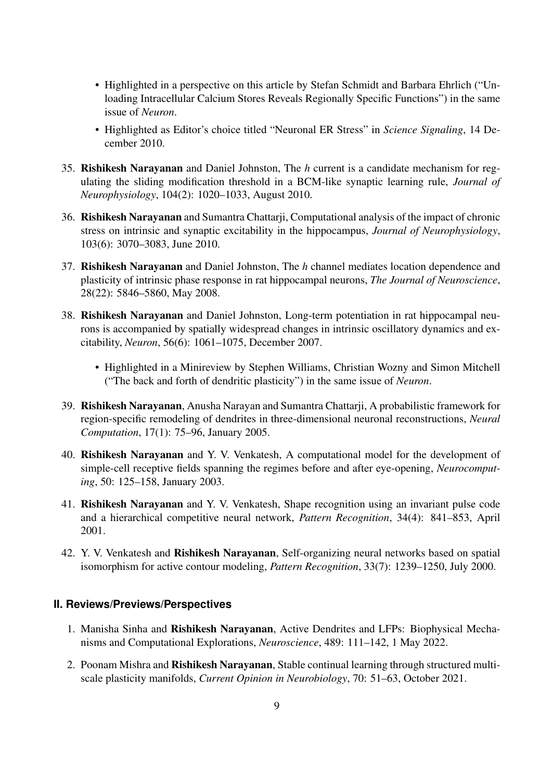- Highlighted in a perspective on this article by Stefan Schmidt and Barbara Ehrlich ("Unloading Intracellular Calcium Stores Reveals Regionally Specific Functions") in the same issue of *Neuron*.
- Highlighted as Editor's choice titled "Neuronal ER Stress" in *Science Signaling*, 14 December 2010.
- 35. Rishikesh Narayanan and Daniel Johnston, The *h* current is a candidate mechanism for regulating the sliding modification threshold in a BCM-like synaptic learning rule, *Journal of Neurophysiology*, 104(2): 1020–1033, August 2010.
- 36. Rishikesh Narayanan and Sumantra Chattarji, Computational analysis of the impact of chronic stress on intrinsic and synaptic excitability in the hippocampus, *Journal of Neurophysiology*, 103(6): 3070–3083, June 2010.
- 37. Rishikesh Narayanan and Daniel Johnston, The *h* channel mediates location dependence and plasticity of intrinsic phase response in rat hippocampal neurons, *The Journal of Neuroscience*, 28(22): 5846–5860, May 2008.
- 38. Rishikesh Narayanan and Daniel Johnston, Long-term potentiation in rat hippocampal neurons is accompanied by spatially widespread changes in intrinsic oscillatory dynamics and excitability, *Neuron*, 56(6): 1061–1075, December 2007.
	- Highlighted in a Minireview by Stephen Williams, Christian Wozny and Simon Mitchell ("The back and forth of dendritic plasticity") in the same issue of *Neuron*.
- 39. Rishikesh Narayanan, Anusha Narayan and Sumantra Chattarji, A probabilistic framework for region-specific remodeling of dendrites in three-dimensional neuronal reconstructions, *Neural Computation*, 17(1): 75–96, January 2005.
- 40. Rishikesh Narayanan and Y. V. Venkatesh, A computational model for the development of simple-cell receptive fields spanning the regimes before and after eye-opening, *Neurocomputing*, 50: 125–158, January 2003.
- 41. Rishikesh Narayanan and Y. V. Venkatesh, Shape recognition using an invariant pulse code and a hierarchical competitive neural network, *Pattern Recognition*, 34(4): 841–853, April 2001.
- 42. Y. V. Venkatesh and Rishikesh Narayanan, Self-organizing neural networks based on spatial isomorphism for active contour modeling, *Pattern Recognition*, 33(7): 1239–1250, July 2000.

# **II. Reviews/Previews/Perspectives**

- 1. Manisha Sinha and Rishikesh Narayanan, Active Dendrites and LFPs: Biophysical Mechanisms and Computational Explorations, *Neuroscience*, 489: 111–142, 1 May 2022.
- 2. Poonam Mishra and Rishikesh Narayanan, Stable continual learning through structured multiscale plasticity manifolds, *Current Opinion in Neurobiology*, 70: 51–63, October 2021.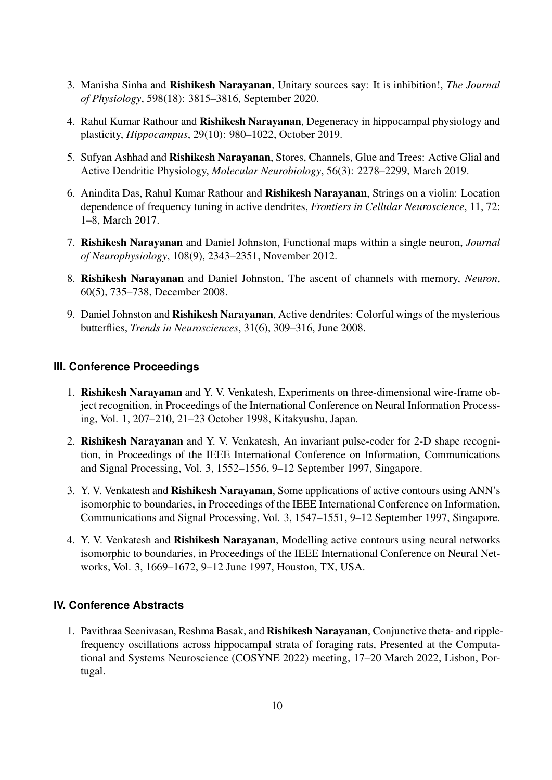- 3. Manisha Sinha and Rishikesh Narayanan, Unitary sources say: It is inhibition!, *The Journal of Physiology*, 598(18): 3815–3816, September 2020.
- 4. Rahul Kumar Rathour and **Rishikesh Narayanan**, Degeneracy in hippocampal physiology and plasticity, *Hippocampus*, 29(10): 980–1022, October 2019.
- 5. Sufyan Ashhad and Rishikesh Narayanan, Stores, Channels, Glue and Trees: Active Glial and Active Dendritic Physiology, *Molecular Neurobiology*, 56(3): 2278–2299, March 2019.
- 6. Anindita Das, Rahul Kumar Rathour and Rishikesh Narayanan, Strings on a violin: Location dependence of frequency tuning in active dendrites, *Frontiers in Cellular Neuroscience*, 11, 72: 1–8, March 2017.
- 7. Rishikesh Narayanan and Daniel Johnston, Functional maps within a single neuron, *Journal of Neurophysiology*, 108(9), 2343–2351, November 2012.
- 8. Rishikesh Narayanan and Daniel Johnston, The ascent of channels with memory, *Neuron*, 60(5), 735–738, December 2008.
- 9. Daniel Johnston and Rishikesh Narayanan, Active dendrites: Colorful wings of the mysterious butterflies, *Trends in Neurosciences*, 31(6), 309–316, June 2008.

## **III. Conference Proceedings**

- 1. Rishikesh Narayanan and Y. V. Venkatesh, Experiments on three-dimensional wire-frame object recognition, in Proceedings of the International Conference on Neural Information Processing, Vol. 1, 207–210, 21–23 October 1998, Kitakyushu, Japan.
- 2. Rishikesh Narayanan and Y. V. Venkatesh, An invariant pulse-coder for 2-D shape recognition, in Proceedings of the IEEE International Conference on Information, Communications and Signal Processing, Vol. 3, 1552–1556, 9–12 September 1997, Singapore.
- 3. Y. V. Venkatesh and Rishikesh Narayanan, Some applications of active contours using ANN's isomorphic to boundaries, in Proceedings of the IEEE International Conference on Information, Communications and Signal Processing, Vol. 3, 1547–1551, 9–12 September 1997, Singapore.
- 4. Y. V. Venkatesh and Rishikesh Narayanan, Modelling active contours using neural networks isomorphic to boundaries, in Proceedings of the IEEE International Conference on Neural Networks, Vol. 3, 1669–1672, 9–12 June 1997, Houston, TX, USA.

# **IV. Conference Abstracts**

1. Pavithraa Seenivasan, Reshma Basak, and Rishikesh Narayanan, Conjunctive theta- and ripplefrequency oscillations across hippocampal strata of foraging rats, Presented at the Computational and Systems Neuroscience (COSYNE 2022) meeting, 17–20 March 2022, Lisbon, Portugal.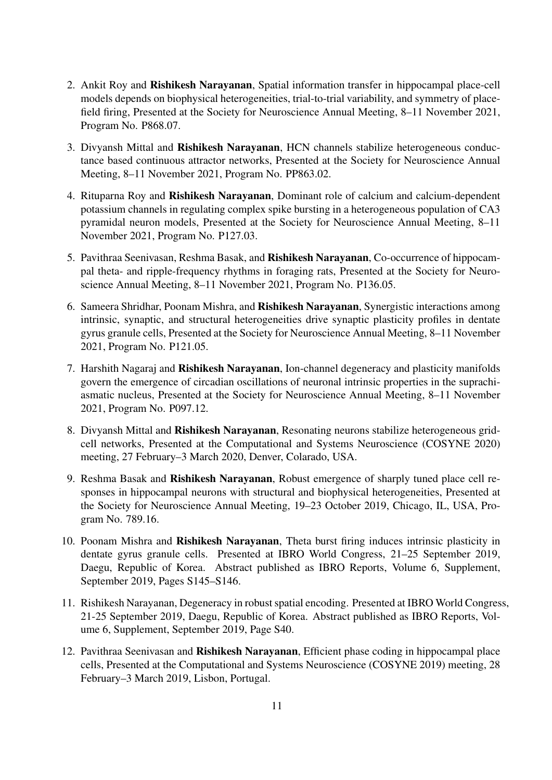- 2. Ankit Roy and Rishikesh Narayanan, Spatial information transfer in hippocampal place-cell models depends on biophysical heterogeneities, trial-to-trial variability, and symmetry of placefield firing, Presented at the Society for Neuroscience Annual Meeting, 8–11 November 2021, Program No. P868.07.
- 3. Divyansh Mittal and Rishikesh Narayanan, HCN channels stabilize heterogeneous conductance based continuous attractor networks, Presented at the Society for Neuroscience Annual Meeting, 8–11 November 2021, Program No. PP863.02.
- 4. Rituparna Roy and Rishikesh Narayanan, Dominant role of calcium and calcium-dependent potassium channels in regulating complex spike bursting in a heterogeneous population of CA3 pyramidal neuron models, Presented at the Society for Neuroscience Annual Meeting, 8–11 November 2021, Program No. P127.03.
- 5. Pavithraa Seenivasan, Reshma Basak, and Rishikesh Narayanan, Co-occurrence of hippocampal theta- and ripple-frequency rhythms in foraging rats, Presented at the Society for Neuroscience Annual Meeting, 8–11 November 2021, Program No. P136.05.
- 6. Sameera Shridhar, Poonam Mishra, and Rishikesh Narayanan, Synergistic interactions among intrinsic, synaptic, and structural heterogeneities drive synaptic plasticity profiles in dentate gyrus granule cells, Presented at the Society for Neuroscience Annual Meeting, 8–11 November 2021, Program No. P121.05.
- 7. Harshith Nagaraj and Rishikesh Narayanan, Ion-channel degeneracy and plasticity manifolds govern the emergence of circadian oscillations of neuronal intrinsic properties in the suprachiasmatic nucleus, Presented at the Society for Neuroscience Annual Meeting, 8–11 November 2021, Program No. P097.12.
- 8. Divyansh Mittal and Rishikesh Narayanan, Resonating neurons stabilize heterogeneous gridcell networks, Presented at the Computational and Systems Neuroscience (COSYNE 2020) meeting, 27 February–3 March 2020, Denver, Colarado, USA.
- 9. Reshma Basak and Rishikesh Narayanan, Robust emergence of sharply tuned place cell responses in hippocampal neurons with structural and biophysical heterogeneities, Presented at the Society for Neuroscience Annual Meeting, 19–23 October 2019, Chicago, IL, USA, Program No. 789.16.
- 10. Poonam Mishra and Rishikesh Narayanan, Theta burst firing induces intrinsic plasticity in dentate gyrus granule cells. Presented at IBRO World Congress, 21–25 September 2019, Daegu, Republic of Korea. Abstract published as IBRO Reports, Volume 6, Supplement, September 2019, Pages S145–S146.
- 11. Rishikesh Narayanan, Degeneracy in robust spatial encoding. Presented at IBRO World Congress, 21-25 September 2019, Daegu, Republic of Korea. Abstract published as IBRO Reports, Volume 6, Supplement, September 2019, Page S40.
- 12. Pavithraa Seenivasan and Rishikesh Narayanan, Efficient phase coding in hippocampal place cells, Presented at the Computational and Systems Neuroscience (COSYNE 2019) meeting, 28 February–3 March 2019, Lisbon, Portugal.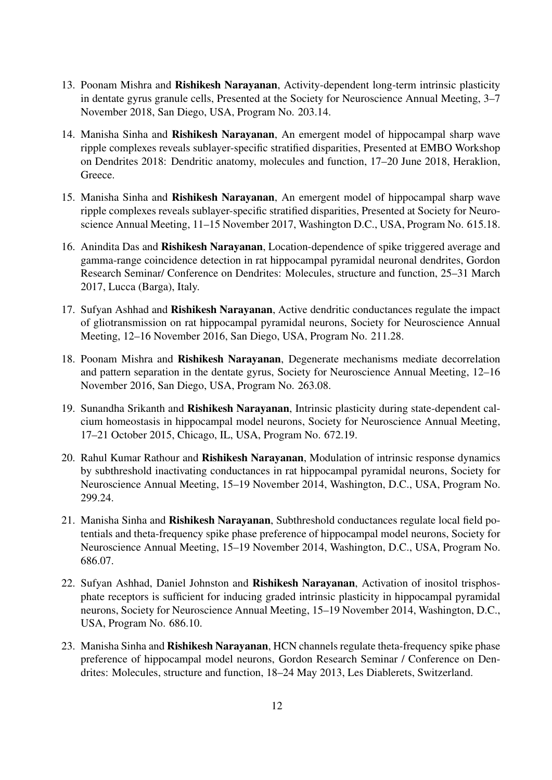- 13. Poonam Mishra and Rishikesh Narayanan, Activity-dependent long-term intrinsic plasticity in dentate gyrus granule cells, Presented at the Society for Neuroscience Annual Meeting, 3–7 November 2018, San Diego, USA, Program No. 203.14.
- 14. Manisha Sinha and Rishikesh Narayanan, An emergent model of hippocampal sharp wave ripple complexes reveals sublayer-specific stratified disparities, Presented at EMBO Workshop on Dendrites 2018: Dendritic anatomy, molecules and function, 17–20 June 2018, Heraklion, Greece.
- 15. Manisha Sinha and Rishikesh Narayanan, An emergent model of hippocampal sharp wave ripple complexes reveals sublayer-specific stratified disparities, Presented at Society for Neuroscience Annual Meeting, 11–15 November 2017, Washington D.C., USA, Program No. 615.18.
- 16. Anindita Das and Rishikesh Narayanan, Location-dependence of spike triggered average and gamma-range coincidence detection in rat hippocampal pyramidal neuronal dendrites, Gordon Research Seminar/ Conference on Dendrites: Molecules, structure and function, 25–31 March 2017, Lucca (Barga), Italy.
- 17. Sufyan Ashhad and Rishikesh Narayanan, Active dendritic conductances regulate the impact of gliotransmission on rat hippocampal pyramidal neurons, Society for Neuroscience Annual Meeting, 12–16 November 2016, San Diego, USA, Program No. 211.28.
- 18. Poonam Mishra and Rishikesh Narayanan, Degenerate mechanisms mediate decorrelation and pattern separation in the dentate gyrus, Society for Neuroscience Annual Meeting, 12–16 November 2016, San Diego, USA, Program No. 263.08.
- 19. Sunandha Srikanth and Rishikesh Narayanan, Intrinsic plasticity during state-dependent calcium homeostasis in hippocampal model neurons, Society for Neuroscience Annual Meeting, 17–21 October 2015, Chicago, IL, USA, Program No. 672.19.
- 20. Rahul Kumar Rathour and Rishikesh Narayanan, Modulation of intrinsic response dynamics by subthreshold inactivating conductances in rat hippocampal pyramidal neurons, Society for Neuroscience Annual Meeting, 15–19 November 2014, Washington, D.C., USA, Program No. 299.24.
- 21. Manisha Sinha and Rishikesh Narayanan, Subthreshold conductances regulate local field potentials and theta-frequency spike phase preference of hippocampal model neurons, Society for Neuroscience Annual Meeting, 15–19 November 2014, Washington, D.C., USA, Program No. 686.07.
- 22. Sufyan Ashhad, Daniel Johnston and Rishikesh Narayanan, Activation of inositol trisphosphate receptors is sufficient for inducing graded intrinsic plasticity in hippocampal pyramidal neurons, Society for Neuroscience Annual Meeting, 15–19 November 2014, Washington, D.C., USA, Program No. 686.10.
- 23. Manisha Sinha and Rishikesh Narayanan, HCN channels regulate theta-frequency spike phase preference of hippocampal model neurons, Gordon Research Seminar / Conference on Dendrites: Molecules, structure and function, 18–24 May 2013, Les Diablerets, Switzerland.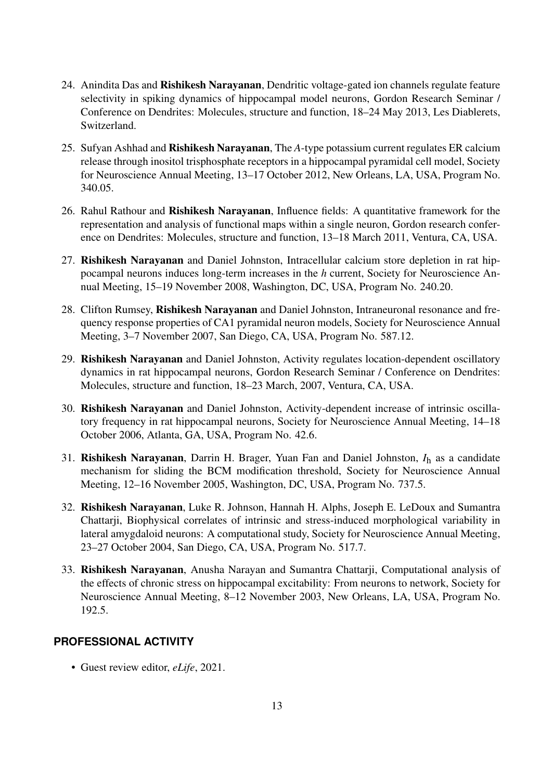- 24. Anindita Das and Rishikesh Narayanan, Dendritic voltage-gated ion channels regulate feature selectivity in spiking dynamics of hippocampal model neurons, Gordon Research Seminar / Conference on Dendrites: Molecules, structure and function, 18–24 May 2013, Les Diablerets, Switzerland.
- 25. Sufyan Ashhad and Rishikesh Narayanan, The *A*-type potassium current regulates ER calcium release through inositol trisphosphate receptors in a hippocampal pyramidal cell model, Society for Neuroscience Annual Meeting, 13–17 October 2012, New Orleans, LA, USA, Program No. 340.05.
- 26. Rahul Rathour and Rishikesh Narayanan, Influence fields: A quantitative framework for the representation and analysis of functional maps within a single neuron, Gordon research conference on Dendrites: Molecules, structure and function, 13–18 March 2011, Ventura, CA, USA.
- 27. Rishikesh Narayanan and Daniel Johnston, Intracellular calcium store depletion in rat hippocampal neurons induces long-term increases in the *h* current, Society for Neuroscience Annual Meeting, 15–19 November 2008, Washington, DC, USA, Program No. 240.20.
- 28. Clifton Rumsey, Rishikesh Narayanan and Daniel Johnston, Intraneuronal resonance and frequency response properties of CA1 pyramidal neuron models, Society for Neuroscience Annual Meeting, 3–7 November 2007, San Diego, CA, USA, Program No. 587.12.
- 29. Rishikesh Narayanan and Daniel Johnston, Activity regulates location-dependent oscillatory dynamics in rat hippocampal neurons, Gordon Research Seminar / Conference on Dendrites: Molecules, structure and function, 18–23 March, 2007, Ventura, CA, USA.
- 30. Rishikesh Narayanan and Daniel Johnston, Activity-dependent increase of intrinsic oscillatory frequency in rat hippocampal neurons, Society for Neuroscience Annual Meeting, 14–18 October 2006, Atlanta, GA, USA, Program No. 42.6.
- 31. Rishikesh Narayanan, Darrin H. Brager, Yuan Fan and Daniel Johnston, *I*<sup>h</sup> as a candidate mechanism for sliding the BCM modification threshold, Society for Neuroscience Annual Meeting, 12–16 November 2005, Washington, DC, USA, Program No. 737.5.
- 32. Rishikesh Narayanan, Luke R. Johnson, Hannah H. Alphs, Joseph E. LeDoux and Sumantra Chattarji, Biophysical correlates of intrinsic and stress-induced morphological variability in lateral amygdaloid neurons: A computational study, Society for Neuroscience Annual Meeting, 23–27 October 2004, San Diego, CA, USA, Program No. 517.7.
- 33. Rishikesh Narayanan, Anusha Narayan and Sumantra Chattarji, Computational analysis of the effects of chronic stress on hippocampal excitability: From neurons to network, Society for Neuroscience Annual Meeting, 8–12 November 2003, New Orleans, LA, USA, Program No. 192.5.

# **PROFESSIONAL ACTIVITY**

• Guest review editor, *eLife*, 2021.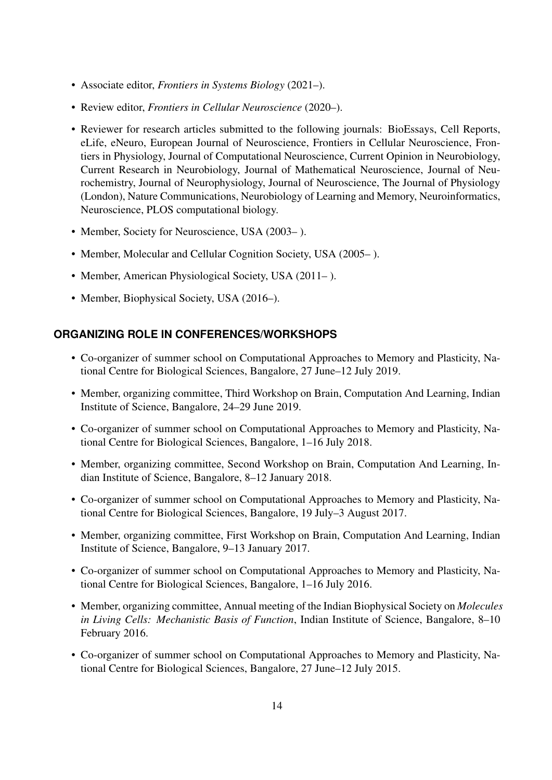- Associate editor, *Frontiers in Systems Biology* (2021–).
- Review editor, *Frontiers in Cellular Neuroscience* (2020–).
- Reviewer for research articles submitted to the following journals: BioEssays, Cell Reports, eLife, eNeuro, European Journal of Neuroscience, Frontiers in Cellular Neuroscience, Frontiers in Physiology, Journal of Computational Neuroscience, Current Opinion in Neurobiology, Current Research in Neurobiology, Journal of Mathematical Neuroscience, Journal of Neurochemistry, Journal of Neurophysiology, Journal of Neuroscience, The Journal of Physiology (London), Nature Communications, Neurobiology of Learning and Memory, Neuroinformatics, Neuroscience, PLOS computational biology.
- Member, Society for Neuroscience, USA (2003– ).
- Member, Molecular and Cellular Cognition Society, USA (2005– ).
- Member, American Physiological Society, USA (2011–).
- Member, Biophysical Society, USA (2016–).

#### **ORGANIZING ROLE IN CONFERENCES/WORKSHOPS**

- Co-organizer of summer school on Computational Approaches to Memory and Plasticity, National Centre for Biological Sciences, Bangalore, 27 June–12 July 2019.
- Member, organizing committee, Third Workshop on Brain, Computation And Learning, Indian Institute of Science, Bangalore, 24–29 June 2019.
- Co-organizer of summer school on Computational Approaches to Memory and Plasticity, National Centre for Biological Sciences, Bangalore, 1–16 July 2018.
- Member, organizing committee, Second Workshop on Brain, Computation And Learning, Indian Institute of Science, Bangalore, 8–12 January 2018.
- Co-organizer of summer school on Computational Approaches to Memory and Plasticity, National Centre for Biological Sciences, Bangalore, 19 July–3 August 2017.
- Member, organizing committee, First Workshop on Brain, Computation And Learning, Indian Institute of Science, Bangalore, 9–13 January 2017.
- Co-organizer of summer school on Computational Approaches to Memory and Plasticity, National Centre for Biological Sciences, Bangalore, 1–16 July 2016.
- Member, organizing committee, Annual meeting of the Indian Biophysical Society on *Molecules in Living Cells: Mechanistic Basis of Function*, Indian Institute of Science, Bangalore, 8–10 February 2016.
- Co-organizer of summer school on Computational Approaches to Memory and Plasticity, National Centre for Biological Sciences, Bangalore, 27 June–12 July 2015.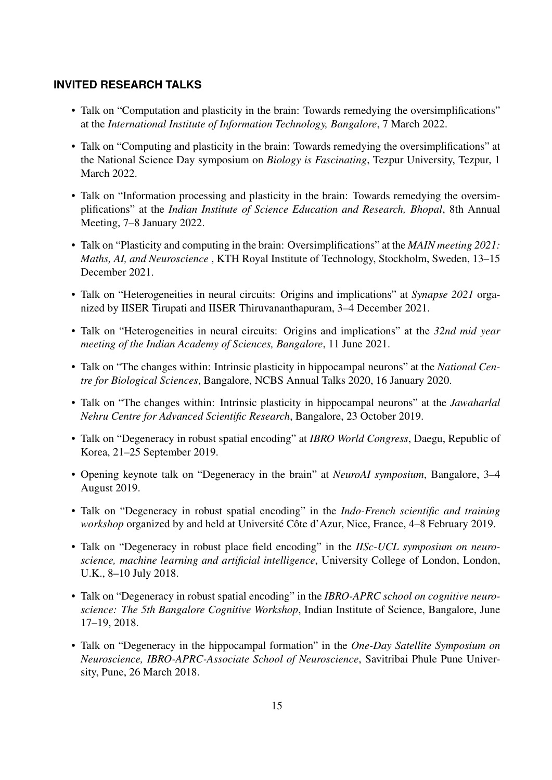## **INVITED RESEARCH TALKS**

- Talk on "Computation and plasticity in the brain: Towards remedying the oversimplifications" at the *International Institute of Information Technology, Bangalore*, 7 March 2022.
- Talk on "Computing and plasticity in the brain: Towards remedying the oversimplifications" at the National Science Day symposium on *Biology is Fascinating*, Tezpur University, Tezpur, 1 March 2022.
- Talk on "Information processing and plasticity in the brain: Towards remedying the oversimplifications" at the *Indian Institute of Science Education and Research, Bhopal*, 8th Annual Meeting, 7–8 January 2022.
- Talk on "Plasticity and computing in the brain: Oversimplifications" at the *MAIN meeting 2021: Maths, AI, and Neuroscience* , KTH Royal Institute of Technology, Stockholm, Sweden, 13–15 December 2021.
- Talk on "Heterogeneities in neural circuits: Origins and implications" at *Synapse 2021* organized by IISER Tirupati and IISER Thiruvananthapuram, 3–4 December 2021.
- Talk on "Heterogeneities in neural circuits: Origins and implications" at the *32nd mid year meeting of the Indian Academy of Sciences, Bangalore*, 11 June 2021.
- Talk on "The changes within: Intrinsic plasticity in hippocampal neurons" at the *National Centre for Biological Sciences*, Bangalore, NCBS Annual Talks 2020, 16 January 2020.
- Talk on "The changes within: Intrinsic plasticity in hippocampal neurons" at the *Jawaharlal Nehru Centre for Advanced Scientific Research*, Bangalore, 23 October 2019.
- Talk on "Degeneracy in robust spatial encoding" at *IBRO World Congress*, Daegu, Republic of Korea, 21–25 September 2019.
- Opening keynote talk on "Degeneracy in the brain" at *NeuroAI symposium*, Bangalore, 3–4 August 2019.
- Talk on "Degeneracy in robust spatial encoding" in the *Indo-French scientific and training workshop* organized by and held at Université Côte d'Azur, Nice, France, 4–8 February 2019.
- Talk on "Degeneracy in robust place field encoding" in the *IISc-UCL symposium on neuroscience, machine learning and artificial intelligence*, University College of London, London, U.K., 8–10 July 2018.
- Talk on "Degeneracy in robust spatial encoding" in the *IBRO-APRC school on cognitive neuroscience: The 5th Bangalore Cognitive Workshop*, Indian Institute of Science, Bangalore, June 17–19, 2018.
- Talk on "Degeneracy in the hippocampal formation" in the *One-Day Satellite Symposium on Neuroscience, IBRO-APRC-Associate School of Neuroscience*, Savitribai Phule Pune University, Pune, 26 March 2018.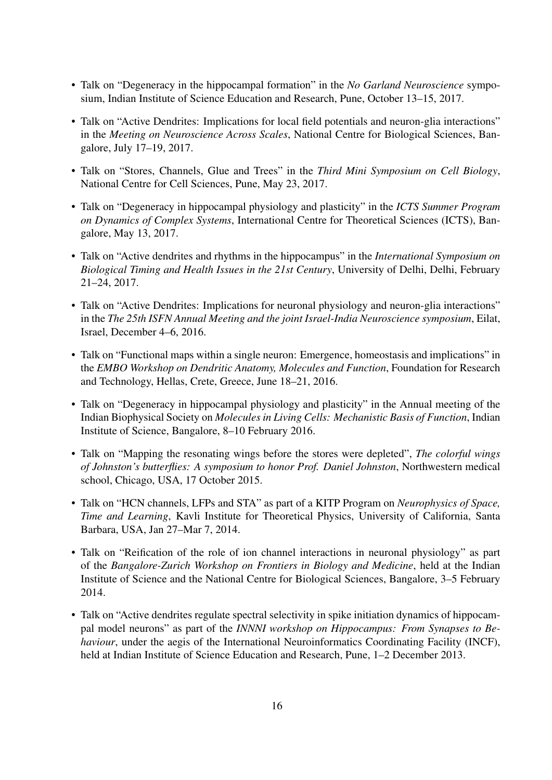- Talk on "Degeneracy in the hippocampal formation" in the *No Garland Neuroscience* symposium, Indian Institute of Science Education and Research, Pune, October 13–15, 2017.
- Talk on "Active Dendrites: Implications for local field potentials and neuron-glia interactions" in the *Meeting on Neuroscience Across Scales*, National Centre for Biological Sciences, Bangalore, July 17–19, 2017.
- Talk on "Stores, Channels, Glue and Trees" in the *Third Mini Symposium on Cell Biology*, National Centre for Cell Sciences, Pune, May 23, 2017.
- Talk on "Degeneracy in hippocampal physiology and plasticity" in the *ICTS Summer Program on Dynamics of Complex Systems*, International Centre for Theoretical Sciences (ICTS), Bangalore, May 13, 2017.
- Talk on "Active dendrites and rhythms in the hippocampus" in the *International Symposium on Biological Timing and Health Issues in the 21st Century*, University of Delhi, Delhi, February 21–24, 2017.
- Talk on "Active Dendrites: Implications for neuronal physiology and neuron-glia interactions" in the *The 25th ISFN Annual Meeting and the joint Israel-India Neuroscience symposium*, Eilat, Israel, December 4–6, 2016.
- Talk on "Functional maps within a single neuron: Emergence, homeostasis and implications" in the *EMBO Workshop on Dendritic Anatomy, Molecules and Function*, Foundation for Research and Technology, Hellas, Crete, Greece, June 18–21, 2016.
- Talk on "Degeneracy in hippocampal physiology and plasticity" in the Annual meeting of the Indian Biophysical Society on *Molecules in Living Cells: Mechanistic Basis of Function*, Indian Institute of Science, Bangalore, 8–10 February 2016.
- Talk on "Mapping the resonating wings before the stores were depleted", *The colorful wings of Johnston's butterflies: A symposium to honor Prof. Daniel Johnston*, Northwestern medical school, Chicago, USA, 17 October 2015.
- Talk on "HCN channels, LFPs and STA" as part of a KITP Program on *Neurophysics of Space, Time and Learning*, Kavli Institute for Theoretical Physics, University of California, Santa Barbara, USA, Jan 27–Mar 7, 2014.
- Talk on "Reification of the role of ion channel interactions in neuronal physiology" as part of the *Bangalore-Zurich Workshop on Frontiers in Biology and Medicine*, held at the Indian Institute of Science and the National Centre for Biological Sciences, Bangalore, 3–5 February 2014.
- Talk on "Active dendrites regulate spectral selectivity in spike initiation dynamics of hippocampal model neurons" as part of the *INNNI workshop on Hippocampus: From Synapses to Behaviour*, under the aegis of the International Neuroinformatics Coordinating Facility (INCF), held at Indian Institute of Science Education and Research, Pune, 1–2 December 2013.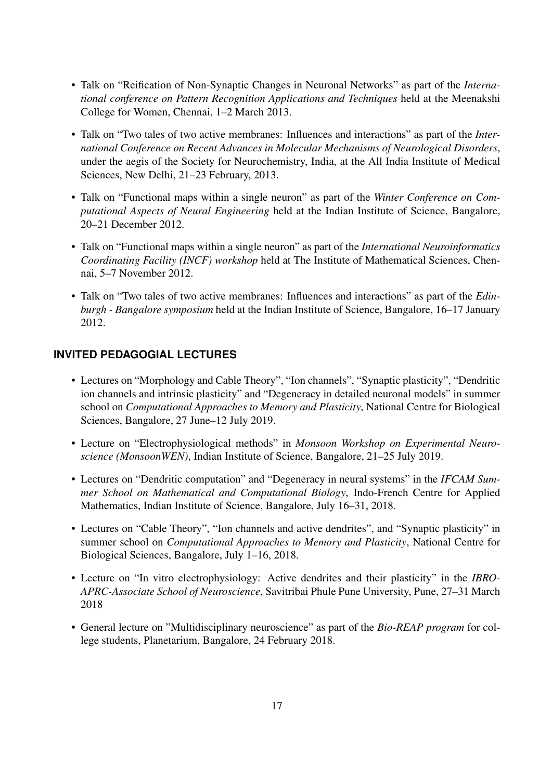- Talk on "Reification of Non-Synaptic Changes in Neuronal Networks" as part of the *International conference on Pattern Recognition Applications and Techniques* held at the Meenakshi College for Women, Chennai, 1–2 March 2013.
- Talk on "Two tales of two active membranes: Influences and interactions" as part of the *International Conference on Recent Advances in Molecular Mechanisms of Neurological Disorders*, under the aegis of the Society for Neurochemistry, India, at the All India Institute of Medical Sciences, New Delhi, 21–23 February, 2013.
- Talk on "Functional maps within a single neuron" as part of the *Winter Conference on Computational Aspects of Neural Engineering* held at the Indian Institute of Science, Bangalore, 20–21 December 2012.
- Talk on "Functional maps within a single neuron" as part of the *International Neuroinformatics Coordinating Facility (INCF) workshop* held at The Institute of Mathematical Sciences, Chennai, 5–7 November 2012.
- Talk on "Two tales of two active membranes: Influences and interactions" as part of the *Edinburgh - Bangalore symposium* held at the Indian Institute of Science, Bangalore, 16–17 January 2012.

# **INVITED PEDAGOGIAL LECTURES**

- Lectures on "Morphology and Cable Theory", "Ion channels", "Synaptic plasticity", "Dendritic ion channels and intrinsic plasticity" and "Degeneracy in detailed neuronal models" in summer school on *Computational Approaches to Memory and Plasticity*, National Centre for Biological Sciences, Bangalore, 27 June–12 July 2019.
- Lecture on "Electrophysiological methods" in *Monsoon Workshop on Experimental Neuroscience (MonsoonWEN)*, Indian Institute of Science, Bangalore, 21–25 July 2019.
- Lectures on "Dendritic computation" and "Degeneracy in neural systems" in the *IFCAM Summer School on Mathematical and Computational Biology*, Indo-French Centre for Applied Mathematics, Indian Institute of Science, Bangalore, July 16–31, 2018.
- Lectures on "Cable Theory", "Ion channels and active dendrites", and "Synaptic plasticity" in summer school on *Computational Approaches to Memory and Plasticity*, National Centre for Biological Sciences, Bangalore, July 1–16, 2018.
- Lecture on "In vitro electrophysiology: Active dendrites and their plasticity" in the *IBRO-APRC-Associate School of Neuroscience*, Savitribai Phule Pune University, Pune, 27–31 March 2018
- General lecture on "Multidisciplinary neuroscience" as part of the *Bio-REAP program* for college students, Planetarium, Bangalore, 24 February 2018.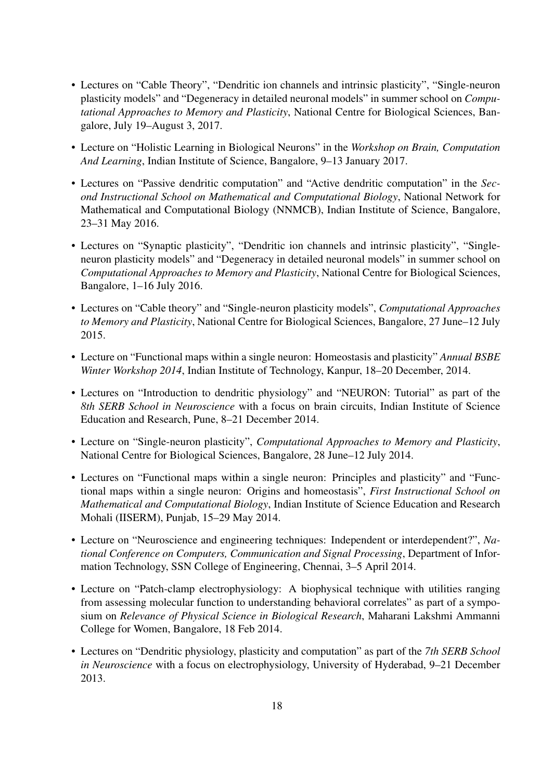- Lectures on "Cable Theory", "Dendritic ion channels and intrinsic plasticity", "Single-neuron plasticity models" and "Degeneracy in detailed neuronal models" in summer school on *Computational Approaches to Memory and Plasticity*, National Centre for Biological Sciences, Bangalore, July 19–August 3, 2017.
- Lecture on "Holistic Learning in Biological Neurons" in the *Workshop on Brain, Computation And Learning*, Indian Institute of Science, Bangalore, 9–13 January 2017.
- Lectures on "Passive dendritic computation" and "Active dendritic computation" in the *Second Instructional School on Mathematical and Computational Biology*, National Network for Mathematical and Computational Biology (NNMCB), Indian Institute of Science, Bangalore, 23–31 May 2016.
- Lectures on "Synaptic plasticity", "Dendritic ion channels and intrinsic plasticity", "Singleneuron plasticity models" and "Degeneracy in detailed neuronal models" in summer school on *Computational Approaches to Memory and Plasticity*, National Centre for Biological Sciences, Bangalore, 1–16 July 2016.
- Lectures on "Cable theory" and "Single-neuron plasticity models", *Computational Approaches to Memory and Plasticity*, National Centre for Biological Sciences, Bangalore, 27 June–12 July 2015.
- Lecture on "Functional maps within a single neuron: Homeostasis and plasticity" *Annual BSBE Winter Workshop 2014*, Indian Institute of Technology, Kanpur, 18–20 December, 2014.
- Lectures on "Introduction to dendritic physiology" and "NEURON: Tutorial" as part of the *8th SERB School in Neuroscience* with a focus on brain circuits, Indian Institute of Science Education and Research, Pune, 8–21 December 2014.
- Lecture on "Single-neuron plasticity", *Computational Approaches to Memory and Plasticity*, National Centre for Biological Sciences, Bangalore, 28 June–12 July 2014.
- Lectures on "Functional maps within a single neuron: Principles and plasticity" and "Functional maps within a single neuron: Origins and homeostasis", *First Instructional School on Mathematical and Computational Biology*, Indian Institute of Science Education and Research Mohali (IISERM), Punjab, 15–29 May 2014.
- Lecture on "Neuroscience and engineering techniques: Independent or interdependent?", *National Conference on Computers, Communication and Signal Processing*, Department of Information Technology, SSN College of Engineering, Chennai, 3–5 April 2014.
- Lecture on "Patch-clamp electrophysiology: A biophysical technique with utilities ranging from assessing molecular function to understanding behavioral correlates" as part of a symposium on *Relevance of Physical Science in Biological Research*, Maharani Lakshmi Ammanni College for Women, Bangalore, 18 Feb 2014.
- Lectures on "Dendritic physiology, plasticity and computation" as part of the *7th SERB School in Neuroscience* with a focus on electrophysiology, University of Hyderabad, 9–21 December 2013.